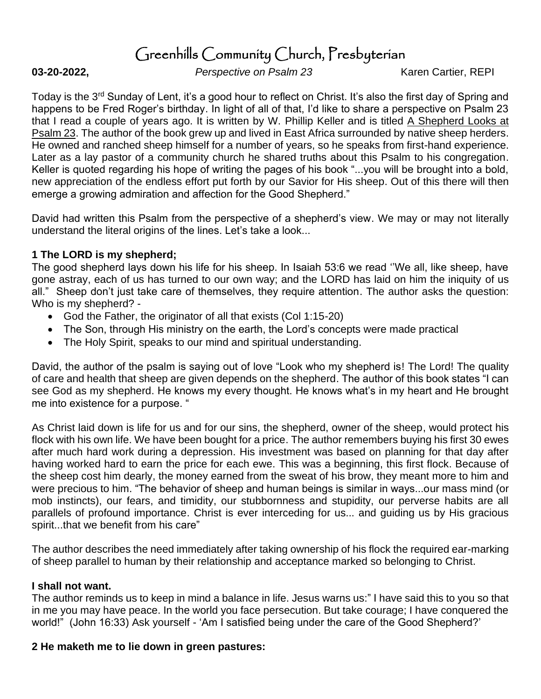# Greenhills Community Church, Presbyterian

**03-20-2022,** *Perspective on Psalm 23* Karen Cartier, REPI

Today is the 3<sup>rd</sup> Sunday of Lent, it's a good hour to reflect on Christ. It's also the first day of Spring and happens to be Fred Roger's birthday. In light of all of that, I'd like to share a perspective on Psalm 23 that I read a couple of years ago. It is written by W. Phillip Keller and is titled A Shepherd Looks at Psalm 23. The author of the book grew up and lived in East Africa surrounded by native sheep herders. He owned and ranched sheep himself for a number of years, so he speaks from first-hand experience. Later as a lay pastor of a community church he shared truths about this Psalm to his congregation. Keller is quoted regarding his hope of writing the pages of his book "...you will be brought into a bold, new appreciation of the endless effort put forth by our Savior for His sheep. Out of this there will then emerge a growing admiration and affection for the Good Shepherd."

David had written this Psalm from the perspective of a shepherd's view. We may or may not literally understand the literal origins of the lines. Let's take a look...

#### **1 The LORD is my shepherd;**

The good shepherd lays down his life for his sheep. In Isaiah 53:6 we read ''We all, like sheep, have gone astray, each of us has turned to our own way; and the LORD has laid on him the iniquity of us all." Sheep don't just take care of themselves, they require attention. The author asks the question: Who is my shepherd? -

- God the Father, the originator of all that exists (Col 1:15-20)
- The Son, through His ministry on the earth, the Lord's concepts were made practical
- The Holy Spirit, speaks to our mind and spiritual understanding.

David, the author of the psalm is saying out of love "Look who my shepherd is! The Lord! The quality of care and health that sheep are given depends on the shepherd. The author of this book states "I can see God as my shepherd. He knows my every thought. He knows what's in my heart and He brought me into existence for a purpose. "

As Christ laid down is life for us and for our sins, the shepherd, owner of the sheep, would protect his flock with his own life. We have been bought for a price. The author remembers buying his first 30 ewes after much hard work during a depression. His investment was based on planning for that day after having worked hard to earn the price for each ewe. This was a beginning, this first flock. Because of the sheep cost him dearly, the money earned from the sweat of his brow, they meant more to him and were precious to him. "The behavior of sheep and human beings is similar in ways...our mass mind (or mob instincts), our fears, and timidity, our stubbornness and stupidity, our perverse habits are all parallels of profound importance. Christ is ever interceding for us... and guiding us by His gracious spirit...that we benefit from his care"

The author describes the need immediately after taking ownership of his flock the required ear-marking of sheep parallel to human by their relationship and acceptance marked so belonging to Christ.

#### **I shall not want.**

The author reminds us to keep in mind a balance in life. Jesus warns us:" I have said this to you so that in me you may have peace. In the world you face persecution. But take courage; I have conquered the world!" (John 16:33) Ask yourself - 'Am I satisfied being under the care of the Good Shepherd?'

#### **2 He maketh me to lie down in green pastures:**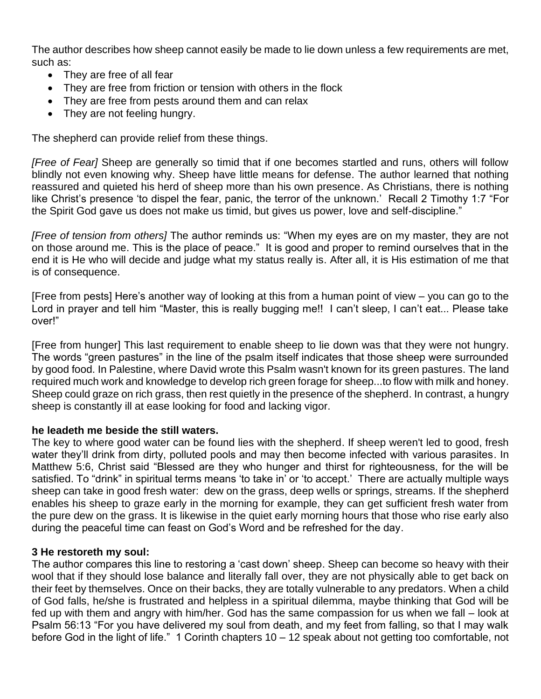The author describes how sheep cannot easily be made to lie down unless a few requirements are met, such as:

- They are free of all fear
- They are free from friction or tension with others in the flock
- They are free from pests around them and can relax
- They are not feeling hungry.

The shepherd can provide relief from these things.

*[Free of Fear]* Sheep are generally so timid that if one becomes startled and runs, others will follow blindly not even knowing why. Sheep have little means for defense. The author learned that nothing reassured and quieted his herd of sheep more than his own presence. As Christians, there is nothing like Christ's presence 'to dispel the fear, panic, the terror of the unknown.' Recall 2 Timothy 1:7 "For the Spirit God gave us does not make us timid, but gives us power, love and self-discipline."

*[Free of tension from others]* The author reminds us: "When my eyes are on my master, they are not on those around me. This is the place of peace." It is good and proper to remind ourselves that in the end it is He who will decide and judge what my status really is. After all, it is His estimation of me that is of consequence.

[Free from pests] Here's another way of looking at this from a human point of view – you can go to the Lord in prayer and tell him "Master, this is really bugging me!! I can't sleep, I can't eat... Please take over!"

[Free from hunger] This last requirement to enable sheep to lie down was that they were not hungry. The words "green pastures" in the line of the psalm itself indicates that those sheep were surrounded by good food. In Palestine, where David wrote this Psalm wasn't known for its green pastures. The land required much work and knowledge to develop rich green forage for sheep...to flow with milk and honey. Sheep could graze on rich grass, then rest quietly in the presence of the shepherd. In contrast, a hungry sheep is constantly ill at ease looking for food and lacking vigor.

#### **he leadeth me beside the still waters.**

The key to where good water can be found lies with the shepherd. If sheep weren't led to good, fresh water they'll drink from dirty, polluted pools and may then become infected with various parasites. In Matthew 5:6, Christ said "Blessed are they who hunger and thirst for righteousness, for the will be satisfied. To "drink" in spiritual terms means 'to take in' or 'to accept.' There are actually multiple ways sheep can take in good fresh water: dew on the grass, deep wells or springs, streams. If the shepherd enables his sheep to graze early in the morning for example, they can get sufficient fresh water from the pure dew on the grass. It is likewise in the quiet early morning hours that those who rise early also during the peaceful time can feast on God's Word and be refreshed for the day.

#### **3 He restoreth my soul:**

The author compares this line to restoring a 'cast down' sheep. Sheep can become so heavy with their wool that if they should lose balance and literally fall over, they are not physically able to get back on their feet by themselves. Once on their backs, they are totally vulnerable to any predators. When a child of God falls, he/she is frustrated and helpless in a spiritual dilemma, maybe thinking that God will be fed up with them and angry with him/her. God has the same compassion for us when we fall – look at Psalm 56:13 "For you have delivered my soul from death, and my feet from falling, so that I may walk before God in the light of life." 1 Corinth chapters 10 – 12 speak about not getting too comfortable, not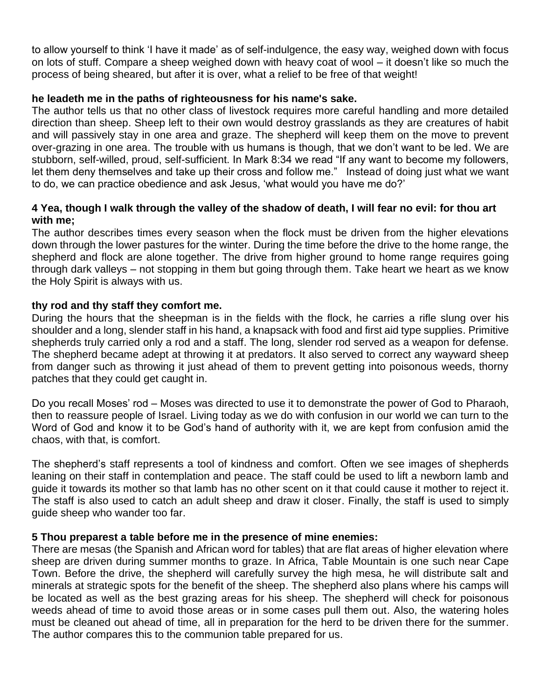to allow yourself to think 'I have it made' as of self-indulgence, the easy way, weighed down with focus on lots of stuff. Compare a sheep weighed down with heavy coat of wool – it doesn't like so much the process of being sheared, but after it is over, what a relief to be free of that weight!

### **he leadeth me in the paths of righteousness for his name's sake.**

The author tells us that no other class of livestock requires more careful handling and more detailed direction than sheep. Sheep left to their own would destroy grasslands as they are creatures of habit and will passively stay in one area and graze. The shepherd will keep them on the move to prevent over-grazing in one area. The trouble with us humans is though, that we don't want to be led. We are stubborn, self-willed, proud, self-sufficient. In Mark 8:34 we read "If any want to become my followers, let them deny themselves and take up their cross and follow me." Instead of doing just what we want to do, we can practice obedience and ask Jesus, 'what would you have me do?'

# **4 Yea, though I walk through the valley of the shadow of death, I will fear no evil: for thou art with me;**

The author describes times every season when the flock must be driven from the higher elevations down through the lower pastures for the winter. During the time before the drive to the home range, the shepherd and flock are alone together. The drive from higher ground to home range requires going through dark valleys – not stopping in them but going through them. Take heart we heart as we know the Holy Spirit is always with us.

# **thy rod and thy staff they comfort me.**

During the hours that the sheepman is in the fields with the flock, he carries a rifle slung over his shoulder and a long, slender staff in his hand, a knapsack with food and first aid type supplies. Primitive shepherds truly carried only a rod and a staff. The long, slender rod served as a weapon for defense. The shepherd became adept at throwing it at predators. It also served to correct any wayward sheep from danger such as throwing it just ahead of them to prevent getting into poisonous weeds, thorny patches that they could get caught in.

Do you recall Moses' rod – Moses was directed to use it to demonstrate the power of God to Pharaoh, then to reassure people of Israel. Living today as we do with confusion in our world we can turn to the Word of God and know it to be God's hand of authority with it, we are kept from confusion amid the chaos, with that, is comfort.

The shepherd's staff represents a tool of kindness and comfort. Often we see images of shepherds leaning on their staff in contemplation and peace. The staff could be used to lift a newborn lamb and guide it towards its mother so that lamb has no other scent on it that could cause it mother to reject it. The staff is also used to catch an adult sheep and draw it closer. Finally, the staff is used to simply guide sheep who wander too far.

# **5 Thou preparest a table before me in the presence of mine enemies:**

There are mesas (the Spanish and African word for tables) that are flat areas of higher elevation where sheep are driven during summer months to graze. In Africa, Table Mountain is one such near Cape Town. Before the drive, the shepherd will carefully survey the high mesa, he will distribute salt and minerals at strategic spots for the benefit of the sheep. The shepherd also plans where his camps will be located as well as the best grazing areas for his sheep. The shepherd will check for poisonous weeds ahead of time to avoid those areas or in some cases pull them out. Also, the watering holes must be cleaned out ahead of time, all in preparation for the herd to be driven there for the summer. The author compares this to the communion table prepared for us.